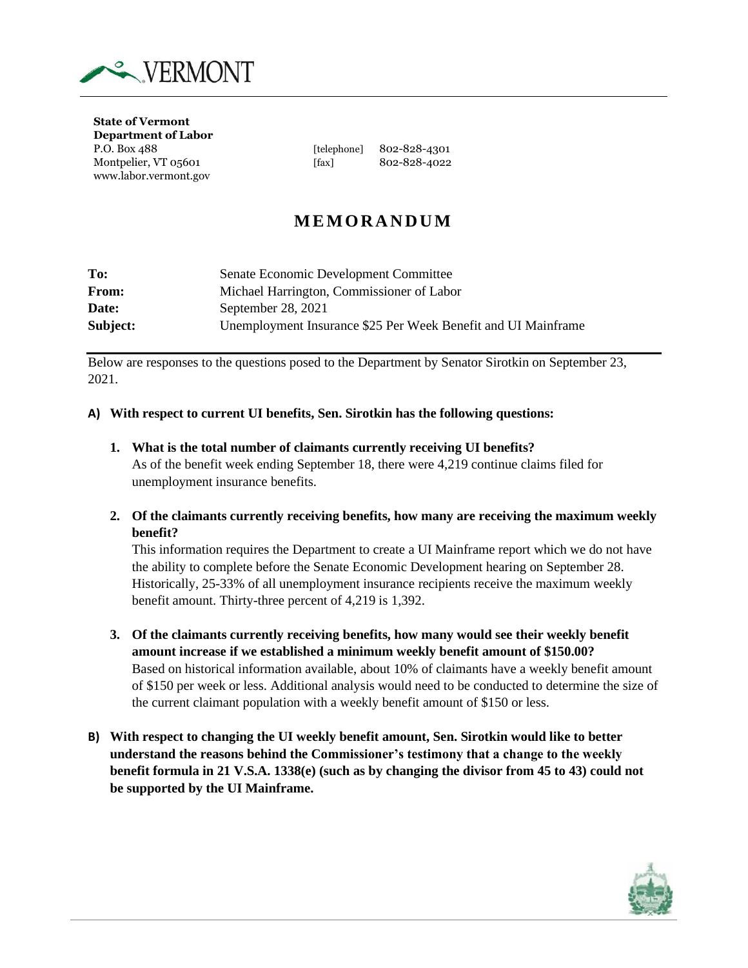

**State of Vermont Department of Labor** www.labor.vermont.gov

P.O. Box 488 [telephone] 802-828-4301 Montpelier, VT 05601 [fax] 802-828-4022

# **M E M O R A N D U M**

| To:          | Senate Economic Development Committee                         |
|--------------|---------------------------------------------------------------|
| <b>From:</b> | Michael Harrington, Commissioner of Labor                     |
| Date:        | September 28, 2021                                            |
| Subject:     | Unemployment Insurance \$25 Per Week Benefit and UI Mainframe |

Below are responses to the questions posed to the Department by Senator Sirotkin on September 23, 2021.

### **A) With respect to current UI benefits, Sen. Sirotkin has the following questions:**

- **1. What is the total number of claimants currently receiving UI benefits?** As of the benefit week ending September 18, there were 4,219 continue claims filed for unemployment insurance benefits.
- **2. Of the claimants currently receiving benefits, how many are receiving the maximum weekly benefit?**

This information requires the Department to create a UI Mainframe report which we do not have the ability to complete before the Senate Economic Development hearing on September 28. Historically, 25-33% of all unemployment insurance recipients receive the maximum weekly benefit amount. Thirty-three percent of 4,219 is 1,392.

- **3. Of the claimants currently receiving benefits, how many would see their weekly benefit amount increase if we established a minimum weekly benefit amount of \$150.00?** Based on historical information available, about 10% of claimants have a weekly benefit amount of \$150 per week or less. Additional analysis would need to be conducted to determine the size of the current claimant population with a weekly benefit amount of \$150 or less.
- **B) With respect to changing the UI weekly benefit amount, Sen. Sirotkin would like to better understand the reasons behind the Commissioner's testimony that a change to the weekly benefit formula in 21 V.S.A. 1338(e) (such as by changing the divisor from 45 to 43) could not be supported by the UI Mainframe.**

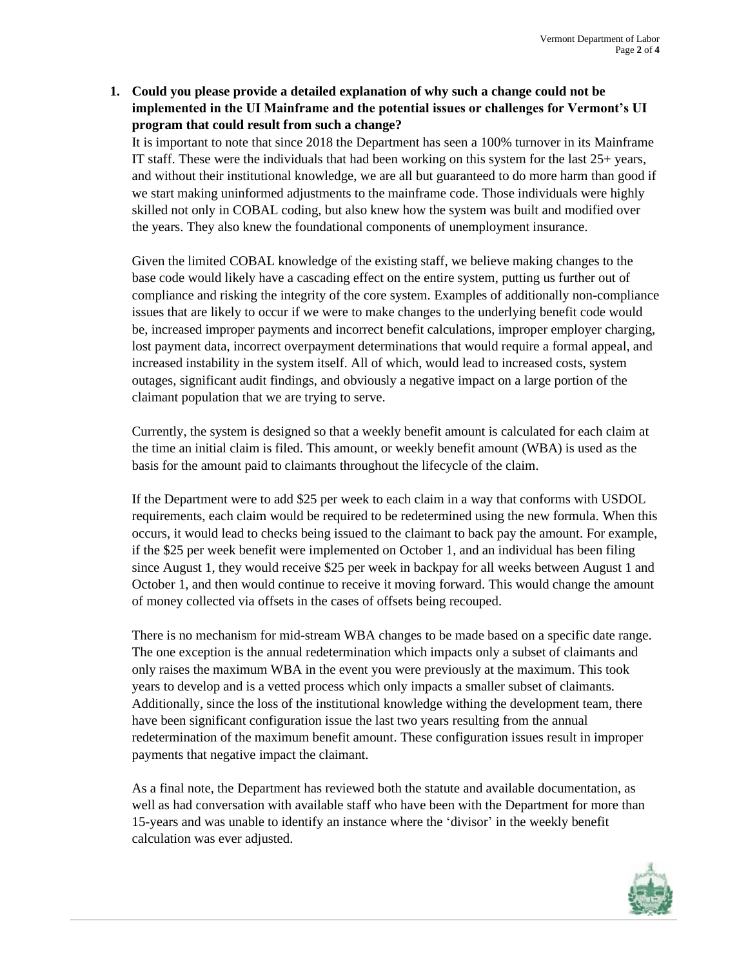## **1. Could you please provide a detailed explanation of why such a change could not be implemented in the UI Mainframe and the potential issues or challenges for Vermont's UI program that could result from such a change?**

It is important to note that since 2018 the Department has seen a 100% turnover in its Mainframe IT staff. These were the individuals that had been working on this system for the last 25+ years, and without their institutional knowledge, we are all but guaranteed to do more harm than good if we start making uninformed adjustments to the mainframe code. Those individuals were highly skilled not only in COBAL coding, but also knew how the system was built and modified over the years. They also knew the foundational components of unemployment insurance.

Given the limited COBAL knowledge of the existing staff, we believe making changes to the base code would likely have a cascading effect on the entire system, putting us further out of compliance and risking the integrity of the core system. Examples of additionally non-compliance issues that are likely to occur if we were to make changes to the underlying benefit code would be, increased improper payments and incorrect benefit calculations, improper employer charging, lost payment data, incorrect overpayment determinations that would require a formal appeal, and increased instability in the system itself. All of which, would lead to increased costs, system outages, significant audit findings, and obviously a negative impact on a large portion of the claimant population that we are trying to serve.

Currently, the system is designed so that a weekly benefit amount is calculated for each claim at the time an initial claim is filed. This amount, or weekly benefit amount (WBA) is used as the basis for the amount paid to claimants throughout the lifecycle of the claim.

If the Department were to add \$25 per week to each claim in a way that conforms with USDOL requirements, each claim would be required to be redetermined using the new formula. When this occurs, it would lead to checks being issued to the claimant to back pay the amount. For example, if the \$25 per week benefit were implemented on October 1, and an individual has been filing since August 1, they would receive \$25 per week in backpay for all weeks between August 1 and October 1, and then would continue to receive it moving forward. This would change the amount of money collected via offsets in the cases of offsets being recouped.

There is no mechanism for mid-stream WBA changes to be made based on a specific date range. The one exception is the annual redetermination which impacts only a subset of claimants and only raises the maximum WBA in the event you were previously at the maximum. This took years to develop and is a vetted process which only impacts a smaller subset of claimants. Additionally, since the loss of the institutional knowledge withing the development team, there have been significant configuration issue the last two years resulting from the annual redetermination of the maximum benefit amount. These configuration issues result in improper payments that negative impact the claimant.

As a final note, the Department has reviewed both the statute and available documentation, as well as had conversation with available staff who have been with the Department for more than 15-years and was unable to identify an instance where the 'divisor' in the weekly benefit calculation was ever adjusted.

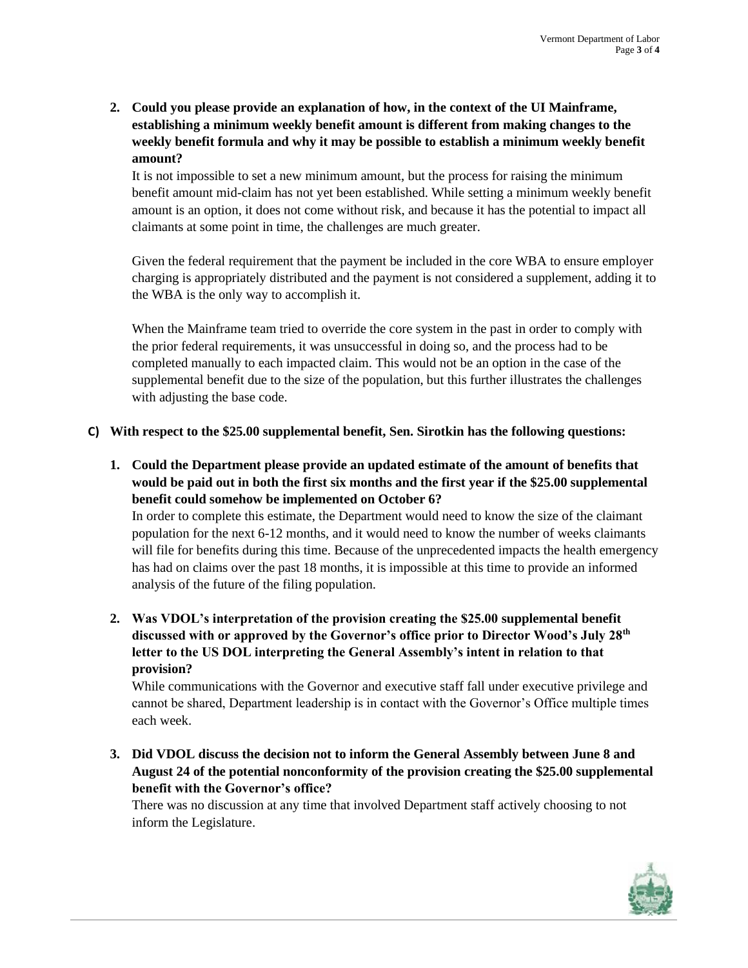**2. Could you please provide an explanation of how, in the context of the UI Mainframe, establishing a minimum weekly benefit amount is different from making changes to the weekly benefit formula and why it may be possible to establish a minimum weekly benefit amount?**

It is not impossible to set a new minimum amount, but the process for raising the minimum benefit amount mid-claim has not yet been established. While setting a minimum weekly benefit amount is an option, it does not come without risk, and because it has the potential to impact all claimants at some point in time, the challenges are much greater.

Given the federal requirement that the payment be included in the core WBA to ensure employer charging is appropriately distributed and the payment is not considered a supplement, adding it to the WBA is the only way to accomplish it.

When the Mainframe team tried to override the core system in the past in order to comply with the prior federal requirements, it was unsuccessful in doing so, and the process had to be completed manually to each impacted claim. This would not be an option in the case of the supplemental benefit due to the size of the population, but this further illustrates the challenges with adjusting the base code.

## **C) With respect to the \$25.00 supplemental benefit, Sen. Sirotkin has the following questions:**

**1. Could the Department please provide an updated estimate of the amount of benefits that would be paid out in both the first six months and the first year if the \$25.00 supplemental benefit could somehow be implemented on October 6?**

In order to complete this estimate, the Department would need to know the size of the claimant population for the next 6-12 months, and it would need to know the number of weeks claimants will file for benefits during this time. Because of the unprecedented impacts the health emergency has had on claims over the past 18 months, it is impossible at this time to provide an informed analysis of the future of the filing population.

**2. Was VDOL's interpretation of the provision creating the \$25.00 supplemental benefit discussed with or approved by the Governor's office prior to Director Wood's July 28th letter to the US DOL interpreting the General Assembly's intent in relation to that provision?**

While communications with the Governor and executive staff fall under executive privilege and cannot be shared, Department leadership is in contact with the Governor's Office multiple times each week.

**3. Did VDOL discuss the decision not to inform the General Assembly between June 8 and August 24 of the potential nonconformity of the provision creating the \$25.00 supplemental benefit with the Governor's office?**

There was no discussion at any time that involved Department staff actively choosing to not inform the Legislature.